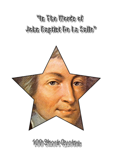



400 Short Quotes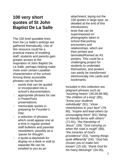# **100 very short quotes of St John Baptist De La Salle**

The 100 brief quotable lines from De La Salle's writings are gathered thematically. Use of this resource could be a practical means of enabling staff, students and parents gain greater access to the inspiration of John Baptist De La Salle, perhaps helping make more overt certain Lasallian characteristics of the school. Among these accessible phrases can be found:

- $\Box$  words that can be quoted or incorporated into a school's documentation;
- $\Box$  appropriate phrases for use in PowerPoint presentations;
- □ memorable quotes in preparing for Founder's Day;
- $\Box$  a selection of phrases which could appear one at a time in regular printed staff bulletins and parental newsletters, possibly as a 'pause for thought';
- □ a quote-a-day/week for display on a desk or wall (a separate file can be emailed to you as an

attachment, laying out the 100 quotes in large type, as detailed at the end of this introduction);

 $\Box$  texts that can be superimposed on photographs taken in school that portray encounters and relationships, which are then printed and laminated/framed as A3 posters. This could be a challenging project for students to undertake themselves, and posters can easily be transformed electronically into cards and bookmarks.

Included in this collection are poignant phrases such as "*touching hearts*" (46,59,96-98), "*the children of a king*" (95), "*know your students individually*" (91), "*show cheerfulness in your face*" (79- 80), "*inspire and lead others by encouraging them*" (81),"*being on friendly terms with others*" (71-81), "*the friendship of Jesus*", (29), "*God carrying us when the road is rough*" (68), "*the miracles of God's providence*" (53), "*seeing things quite differently*" (54), "*God has chosen you to make him known*" (15-18), "*thank God for his many blessings*" (34-35),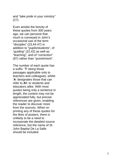and "*take pride in your ministry*" (27).

Even amidst the brevity of these quotes from 300 years ago, we can perceive that much is conveyed in John's occasional use of the term "*disciples*" (23,44-47) in addition to "pupils/students", of "*guiding*" (22,42) as well as "teaching", and of "*correction*" (87) rather than "punishment".

The number of each quote has a suffix: ' **T**' being those passages applicable only to teachers and colleagues, whilst '**A**' designates those that can refer to **A**ll: to students and educators alike. With most quotes being only a sentence in length, the context may not be appreciated fully, but precise references are given, enabling the reader to discover more from the sources. When reprinting any of these quotes for the likes of posters, there is unlikely to be a need to incorporate the detailed source reference, but the name of St John Baptist De La Salle should be included.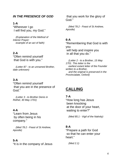# *IN THE PRESENCE OF GOD*

## **1-A**

"Wherever I go I will find you, my God."

 *(Explanation of the Method of Interior Prayer: example of an act of faith)*

## **2-A**

"Often remind yourself that God is with you."

 *(Letter 87 - to an unnamed Brother, date unknown)*

## **3-A**

"Often remind yourself that you are in the presence of God."

 *(Letter 3 - to Brother Denis in Rethel, 30 May 1701)*

#### **4-A**

"Learn from Jesus by often being in his company."

 *(Med 78.2 - Feast of St Andrew, Apostle)*

#### **5-A**

"It is in the company of Jesus

 that you work for the glory of God."

 *(Med 78.2 - Feast of St Andrew, Apostle)*

#### **6-A**

"Remembering that God is with you will help and inspire you in all that you do."

 *(Letter 2 - to a Brother, 15 May 1701. This letter is the earliest extant letter of the Founder written to a Brother, and the original is preserved in the Provincialate, Oxford)*

# **CALLING**

#### **7-A**

"How long has Jesus been knocking at the door of your heart, waiting to enter?"

 *(Med 85.1 - Vigil of the Nativity)*

#### **8-A**

"Prepare a path for God so that he can enter your heart."

 *(Med 2.1)*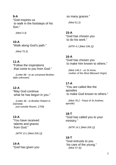"God inspires us to walk in the footsteps of his Son."

 *(Med 3.3)*

# **10-A**

"Walk along God's path."

 *(Med 75.3)*

# **11-A**

"Follow the inspirations that come to you from God."

 *(Letter 86 - to an unnamed Brother, date unknown)*

# **12-A**

"May God continue what he has begun in you."

 *(Letter 46 - to Brother Robert in Darnetal, just outside Rouen, 1709)*

# **13-A**

"You have received talents and graces from God."

 *(MTR 13.1 [Med 205.1])*

#### **14-A**

"God has given you

so many graces."

 *(Med 51.2)*

## **15-A**

"God has chosen you to do his work."

 *(MTR 4.1 [Med 196.1])*

# **16-A**

"God has chosen you to make him known to others."

 *(Med 146.2 - on St Anne, mother of the Most Blessed Virgin)*

#### **17-A**

"You are called like the apostles to make God known to others."

 *(Med 78.2 - Feast of St Andrew, apostle)*

#### **18-T**

"God has called you to your ministry."

 *(MTR 14.1 [Med 206.1])*

#### **19-T**

"God entrusts to you his care of the young."  *(Med 37.3))*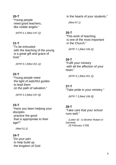"Young people need good teachers, like visible angels."

 *(MTR 5.1 [Med 197.1])*

## **21-T**

"To be entrusted with the teaching of the young is a great gift and grace of God<sup>3</sup>

 *(MTR 9.1 [Med 201.1])*

## **22-T**

"Young people need the light of watchful guides to lead them on the path of salvation."

 *(MTR 5.3 [Med 197.3])*

#### **23-T**

"Have you been helping your disciples practice the good that is appropriate to their age?"

 *(Med 51.2)* 

## **24-T**

"Do your part to help build up the kingdom of God in the hearts of your students."

 *(Med 67.1)*

#### **25-T**

"This work of teaching is one of the most important in the Church."

 *(MTR 7.1 [Med 199.1])*

#### **26-T**

"Fulfil your ministry with all the affection of your heart."

 *(MTR 9.1 [Med 201.1])*

#### **27-T**

"Take pride in your ministry."

 *(MTR 7.3 [Med 199.3])*

#### **28-T**

"Take care that your school runs well."

 *(Letter 42 - to Brother Robert in Darnetal, 26 February 1709)*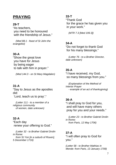# **PRAYING**

## **29-T**

"As teachers, you need to be honoured with the friendship of Jesus."

 *(Med 88.1 - feast of St John the evangelist)*

# **30-A**

"Show the great love you have for Jesus by being eager to talk with him in prayer."

 *(Med 144.3 - on St Mary Magdalen)*

## **31-A**

"Say to Jesus as the apostles did:

'Lord, teach us to pray'."

 *(Letter 111 - to a member of a religious community of women, date unknown)*

# **32-A**

"Each day renew your offering to God."

 *(Letter 32 - to Brother Gabriel Drolin in Rome:* 

 *from St Yon [in a suburb of Rouen], 5 December 1716)*

#### **33-T**

"Thank God for the grace he has given you in your work."

 *(MTR 7.3 [Med 199.3])*

## **34-A**

"Do not forget to thank God for his many blessings."

 *(Letter 76 - to a Brother Director, date unknown)*

## **35-A**

"I have received, my God, so many blessings from you."

 *(Explanation of the Method of Interior Prayer - example of an act of thanksgiving)*

## **36-A**

"I shall pray to God for you, and will have many others pray for you and your needs."

 *(Letter 23 - to Brother Gabriel Drolin in Rome: from Paris, 12 May 1706)*

## **37-A**

"I will often pray to God for you."

*(Letter 58 - to Brother Mathias in Mende: from Paris, 13 January 1708)*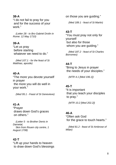"I do not fail to pray for you and for the success of your work."

 *(Letter 28 - to Bro Gabriel Drolin in Rome: 12 May 1710)*

# **39-A**

"Let us pray before starting whatever we need to do."

 *(Med 107.1 - for the feast of St Matthias, apostle)*

#### **40-A**

"The more you devote yourself in prayer the more you will do well in your work."

 *(Med 95.1 - Feast of St Genevieve)*

## **41-A**

"Prayer draws down God's graces on others."

 *(Letter 5 - to Brother Denis in Darnetal, 5km from Rouen city centre, 1 August 1708)*

#### **42-T**

"Lift up your hands to heaven to draw down God's blessings on those you are guiding."

 *(Med 189.1 - feast of St Martin)*

#### **43-T**

"You must pray not only for yourself but also for those whom you are guiding."

 *(Med 187.2 - feast of St Charles Borromeo)*

#### **44-T**

"Bring to Jesus in prayer the needs of your disciples."

 *(MTR 4.1 [Med 196.1])*

#### **45-T**

"It is important that you teach your disciples to pray."

 *(MTR 10.2 [Med 202.2])*

#### **46-A**

"Often ask God for the grace to touch hearts."

 *(Med 81.2 - feast of St Ambrose of Milan)*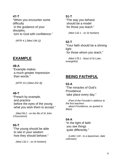"When you encounter some difficulty in the guidance of your disciples, turn to God with confidence."

 *(MTR 4.1 [Med 196.1])*

# **EXAMPLE**

#### **48-A**

"Example makes a much greater impression than words."

 *(MTR 10.3 [Med 202.3])*

## **49-T**

"Preach by example, and practice before the eyes of the young what you wish them to accept."

 *(Med 99.2 - on the life of St John Chrysostom)*

# **50-T**

"The young should be able to see in your wisdom how they should behave."

 *(Med 132.1 - on St Norbert)*

## **51-T**

"The way you behave should be a model for those you teach."

 *(Med 132.1 - on St Norbert)*

# **52-T**

"Your faith should be a shining light for those whom you teach."

 *(Med 178.1 - feast of St Luke, evangelist)*

# **BEING FAITHFUL**

## **53-A**

"The miracles of God's **Providence** take place every day."

 *(Part of the Founder's address to the first teachers about Providence, as quoted in Blain)*

## **54-A**

"In the light of faith you see things quite differently."

 *(Letter 118 - to a laywoman, date unknown)*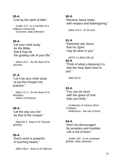"Live by the spirit of faith."

 *(Letter 111 - to a member of a religious community of women, date unknown)*

# **56-A**

"Let your chief study be the Bible, that it may be the guiding rule of your life."

 *(Med 170.1 - for the feast of St Jerome)*

# **57-A**

"Let it be your chief study to put the Gospel into practice."

 *(Med 171.3 - for the feast of St Remigius, Patron of Rheims)*

# **58-A**

"Let the way you live be that of the Gospel."

 *(Med 84.3 - feast of St Thomas, apostle)*

# **59-A**

"God's word is powerful in touching hearts."

 *(Med 180.2 - feast of St Hilarion)* 

# **60-A**

"Receive Jesus today with respect and thanksgiving."

 *(Med 114.2 - on St Leo)*

# **61-A**

"Earnestly ask Jesus that his Spirit may be alive in you."

 *(MTR 4.1 [Med 196.1])* 

#### **62-A**

"Think of what a blessing it is that the Holy Spirit lives in you."

 *(Med 62.2)*

# **63-A**

"You can do more with the grace of God than you think."

 *(Collection of Various Short Treatises: Reflections - the use of time)*

# **64-A**

"Don't be discouraged by anxieties and troubles. Life is full of them."

 *(Letter 102 - to an unnamed Brother, date unknown)*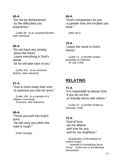"Do not be disheartened by the difficulties you experience."

 *(Letter 90 - to an unnamed Brother, date unknown)*

## **66-A**

"Do not have any anxiety about the future. Leave everything in God's hands for he will take care of you."

 *(Letter 101 - to an unnamed Brother, date unknown)*

# **67-A**

"God is more ready than ever to welcome you into his arms."

 *(Letter 108 - to a member of a religious community of women, date unknown)*

# **68-A**

"Throw yourself into God's arms. He will carry you when the road is rough."

 *(Palm Sunday)*

#### **69-A**

"God's compassion for you is greater than the troubles you have."

 *(Med 38.1)*

## **70-A**

"Leave the result in God's hands."

 *(Letter 11 - to Brother Hubert [probably at Chartres]: 20 July 1709)*

# **RELATING**

## **71-A**

"It is impossible to please God if you do not live on friendly terms with others."

 *(Letter 47 - to Brother Robert in Darnetal, 1709)*

# **72-A**

"God of love, set me aflame with love for you and for my neighbour."

 *(Explanation of the Method of Interior Prayer - example of considering Jesus Christ in the form of the Blessed Sacrament)*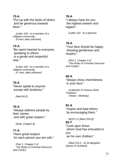"Put up with the faults of others and be generous towards them."

 *(Letter 105 - to a member of a religious community of men, date unknown)*

# **74-A**

"Be warm-hearted to everyone, speaking to others in a gentle and respectful way."

 *(Letter 105 - to a member of a religious community of men, date unknown)*

# **75-A**

"Never speak to anyone except with kindness."

 *(Med 65.2)*

## **76-A**

"Always address people by their names and with great respect."

 *(Rule, Chapter 8)*

## **77-A**

"Have great respect for each person you are with."

 *(Part 1, Chapter 2 of 'The Rules of Christian Decorum and Civility')*

#### **78-A**

"I always have for you the highest esteem and regard."

 *(Letter 122 - to a layman)*

# **79-A**

"Your face should be happy, showing gentleness and respect."

 *(Part 1, Chapter 4 of 'The Rules of Christian Decorum and Civility')*

## **80-A**

"Always show cheerfulness in your face."

 *(Collection of Various Short Treatises: Virtues - Modesty)* 

## **81-A**

"Inspire and lead others by encouraging them."

 *(MTR 1:2 [Med 193.2])* **82-T** "Look upon those whom God has entrusted to you as his own children."

 *(Med 133.2 - on St Margaret, Queen of Scotland)*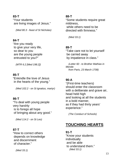"Your students are living images of Jesus."

 *(Med 80.3 - feast of St Nicholas)*

## **84-T**

"Are you ready to give your very life, so dear to you are the young people entrusted to you?"

 *(MTR 6.2 [Med 198.2])*

# **85-T**

"Enkindle the love of Jesus in the hearts of the young."

 *(Med 102.2 - on St Ignatius, martyr)*

# **86-T**

"To deal with young people very harshly is to forego all hope of bringing about any good."

 *(Med 114.2 - on St Leo)*

# **87-T**

"How to correct others depends on knowledge and discernment of character."

 *(Med 33.1)*

#### **88-T**

"Some students require great mildness, while others need to be directed with firmness."

 *(Med 33.1)*

# **89-T**

"Take care not to let yourself be carried away by impatience in class."

 *(Letter 60 - to Brother Mathias in Mende: from Paris, 23 March 1708)*

# **90-A**

"(First-time teachers) should enter the classroom with a deliberate and grave air, head held high and looking at all the students in a bold manner, as if they had thirty years' experience."

 *(The Conduct of Schools)*

# **TOUCHING HEARTS**

## **91-T**

"Know your students individually and be able to understand them." *(Med 33.1)*